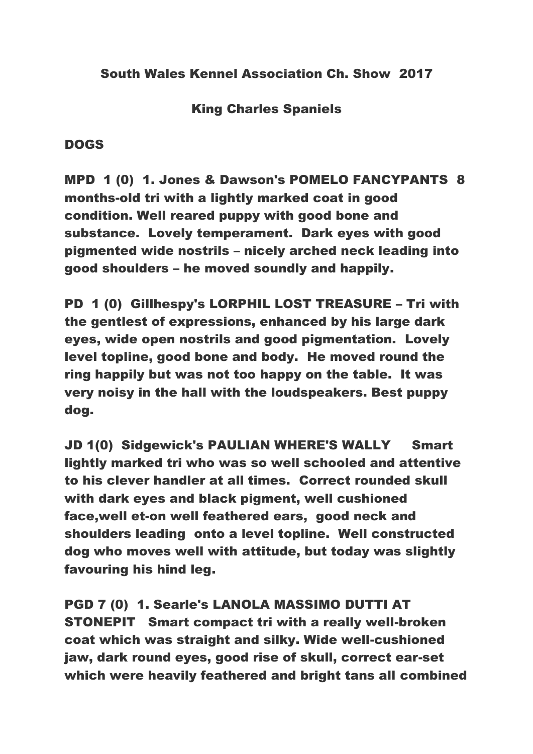King Charles Spaniels

## DOGS

MPD 1 (0) 1. Jones & Dawson's POMELO FANCYPANTS 8 months-old tri with a lightly marked coat in good condition. Well reared puppy with good bone and substance. Lovely temperament. Dark eyes with good pigmented wide nostrils – nicely arched neck leading into good shoulders – he moved soundly and happily.

PD 1 (0) Gillhespy's LORPHIL LOST TREASURE – Tri with the gentlest of expressions, enhanced by his large dark eyes, wide open nostrils and good pigmentation. Lovely level topline, good bone and body. He moved round the ring happily but was not too happy on the table. It was very noisy in the hall with the loudspeakers. Best puppy dog.

JD 1(0) Sidgewick's PAULIAN WHERE'S WALLY Smart lightly marked tri who was so well schooled and attentive to his clever handler at all times. Correct rounded skull with dark eyes and black pigment, well cushioned face,well et-on well feathered ears, good neck and shoulders leading onto a level topline. Well constructed dog who moves well with attitude, but today was slightly favouring his hind leg.

PGD 7 (0) 1. Searle's LANOLA MASSIMO DUTTI AT STONEPIT Smart compact tri with a really well-broken coat which was straight and silky. Wide well-cushioned jaw, dark round eyes, good rise of skull, correct ear-set which were heavily feathered and bright tans all combined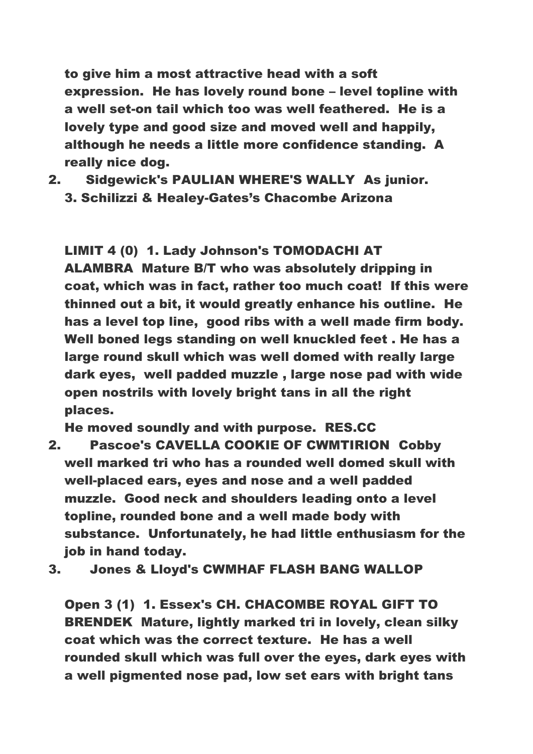to give him a most attractive head with a soft expression. He has lovely round bone – level topline with a well set-on tail which too was well feathered. He is a lovely type and good size and moved well and happily, although he needs a little more confidence standing. A really nice dog.

2. Sidgewick's PAULIAN WHERE'S WALLY As junior. 3. Schilizzi & Healey-Gates's Chacombe Arizona

LIMIT 4 (0) 1. Lady Johnson's TOMODACHI AT ALAMBRA Mature B/T who was absolutely dripping in coat, which was in fact, rather too much coat! If this were thinned out a bit, it would greatly enhance his outline. He has a level top line, good ribs with a well made firm body. Well boned legs standing on well knuckled feet . He has a large round skull which was well domed with really large dark eyes, well padded muzzle , large nose pad with wide

open nostrils with lovely bright tans in all the right places.

He moved soundly and with purpose. RES.CC

2. Pascoe's CAVELLA COOKIE OF CWMTIRION Cobby well marked tri who has a rounded well domed skull with well-placed ears, eyes and nose and a well padded muzzle. Good neck and shoulders leading onto a level topline, rounded bone and a well made body with substance. Unfortunately, he had little enthusiasm for the job in hand today.

3. Jones & Lloyd's CWMHAF FLASH BANG WALLOP

Open 3 (1) 1. Essex's CH. CHACOMBE ROYAL GIFT TO BRENDEK Mature, lightly marked tri in lovely, clean silky coat which was the correct texture. He has a well rounded skull which was full over the eyes, dark eyes with a well pigmented nose pad, low set ears with bright tans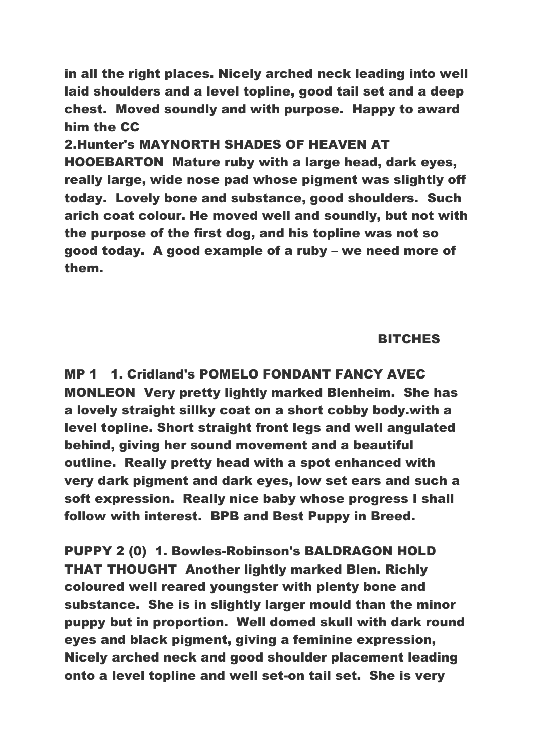in all the right places. Nicely arched neck leading into well laid shoulders and a level topline, good tail set and a deep chest. Moved soundly and with purpose. Happy to award him the CC

2.Hunter's MAYNORTH SHADES OF HEAVEN AT HOOEBARTON Mature ruby with a large head, dark eyes, really large, wide nose pad whose pigment was slightly off today. Lovely bone and substance, good shoulders. Such arich coat colour. He moved well and soundly, but not with the purpose of the first dog, and his topline was not so good today. A good example of a ruby – we need more of them.

## BITCHES

MP 1 1. Cridland's POMELO FONDANT FANCY AVEC MONLEON Very pretty lightly marked Blenheim. She has a lovely straight sillky coat on a short cobby body.with a level topline. Short straight front legs and well angulated behind, giving her sound movement and a beautiful outline. Really pretty head with a spot enhanced with very dark pigment and dark eyes, low set ears and such a soft expression. Really nice baby whose progress I shall follow with interest. BPB and Best Puppy in Breed.

PUPPY 2 (0) 1. Bowles-Robinson's BALDRAGON HOLD THAT THOUGHT Another lightly marked Blen. Richly coloured well reared youngster with plenty bone and substance. She is in slightly larger mould than the minor puppy but in proportion. Well domed skull with dark round eyes and black pigment, giving a feminine expression, Nicely arched neck and good shoulder placement leading onto a level topline and well set-on tail set. She is very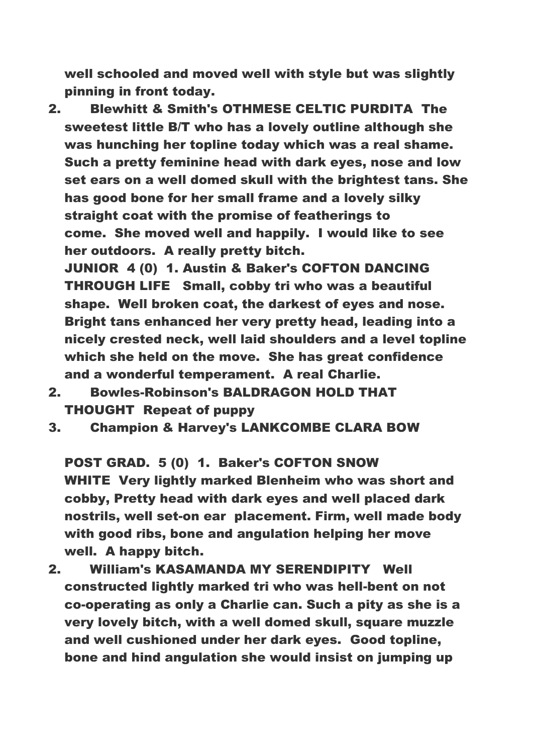well schooled and moved well with style but was slightly pinning in front today.

- 2. Blewhitt & Smith's OTHMESE CELTIC PURDITA The sweetest little B/T who has a lovely outline although she was hunching her topline today which was a real shame. Such a pretty feminine head with dark eyes, nose and low set ears on a well domed skull with the brightest tans. She has good bone for her small frame and a lovely silky straight coat with the promise of featherings to come. She moved well and happily. I would like to see her outdoors. A really pretty bitch. JUNIOR 4 (0) 1. Austin & Baker's COFTON DANCING
	- THROUGH LIFE Small, cobby tri who was a beautiful shape. Well broken coat, the darkest of eyes and nose. Bright tans enhanced her very pretty head, leading into a nicely crested neck, well laid shoulders and a level topline which she held on the move. She has great confidence and a wonderful temperament. A real Charlie.
- 2. Bowles-Robinson's BALDRAGON HOLD THAT THOUGHT Repeat of puppy
- 3. Champion & Harvey's LANKCOMBE CLARA BOW

POST GRAD. 5 (0) 1. Baker's COFTON SNOW WHITE Very lightly marked Blenheim who was short and cobby, Pretty head with dark eyes and well placed dark nostrils, well set-on ear placement. Firm, well made body with good ribs, bone and angulation helping her move well. A happy bitch.

2. William's KASAMANDA MY SERENDIPITY Well constructed lightly marked tri who was hell-bent on not co-operating as only a Charlie can. Such a pity as she is a very lovely bitch, with a well domed skull, square muzzle and well cushioned under her dark eyes. Good topline, bone and hind angulation she would insist on jumping up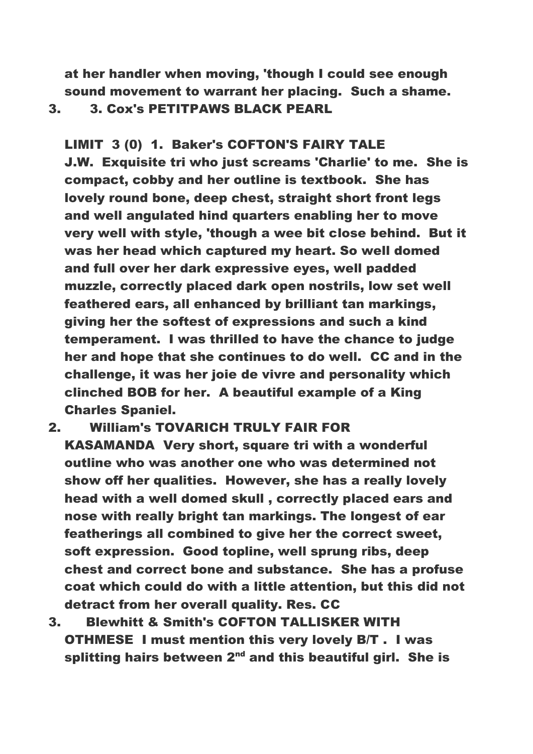at her handler when moving, 'though I could see enough sound movement to warrant her placing. Such a shame.

3. 3. Cox's PETITPAWS BLACK PEARL

LIMIT 3 (0) 1. Baker's COFTON'S FAIRY TALE J.W. Exquisite tri who just screams 'Charlie' to me. She is compact, cobby and her outline is textbook. She has lovely round bone, deep chest, straight short front legs and well angulated hind quarters enabling her to move very well with style, 'though a wee bit close behind. But it was her head which captured my heart. So well domed and full over her dark expressive eyes, well padded muzzle, correctly placed dark open nostrils, low set well feathered ears, all enhanced by brilliant tan markings, giving her the softest of expressions and such a kind temperament. I was thrilled to have the chance to judge her and hope that she continues to do well. CC and in the challenge, it was her joie de vivre and personality which clinched BOB for her. A beautiful example of a King Charles Spaniel.

2. William's TOVARICH TRULY FAIR FOR

- KASAMANDA Very short, square tri with a wonderful outline who was another one who was determined not show off her qualities. However, she has a really lovely head with a well domed skull , correctly placed ears and nose with really bright tan markings. The longest of ear featherings all combined to give her the correct sweet, soft expression. Good topline, well sprung ribs, deep chest and correct bone and substance. She has a profuse coat which could do with a little attention, but this did not detract from her overall quality. Res. CC
- 3. Blewhitt & Smith's COFTON TALLISKER WITH OTHMESE I must mention this very lovely B/T . I was splitting hairs between  $2<sup>nd</sup>$  and this beautiful girl. She is